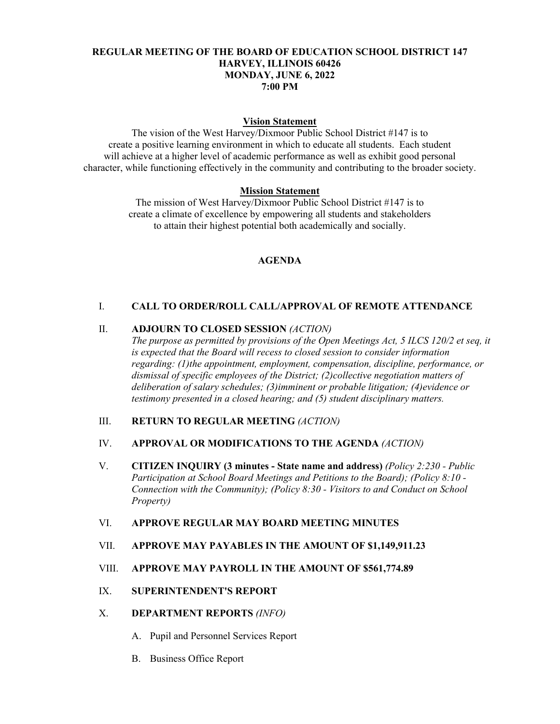## **REGULAR MEETING OF THE BOARD OF EDUCATION SCHOOL DISTRICT 147 HARVEY, ILLINOIS 60426 MONDAY, JUNE 6, 2022 7:00 PM**

#### **Vision Statement**

The vision of the West Harvey/Dixmoor Public School District #147 is to create a positive learning environment in which to educate all students. Each student will achieve at a higher level of academic performance as well as exhibit good personal character, while functioning effectively in the community and contributing to the broader society.

## **Mission Statement**

The mission of West Harvey/Dixmoor Public School District #147 is to create a climate of excellence by empowering all students and stakeholders to attain their highest potential both academically and socially.

#### **AGENDA**

## I. **CALL TO ORDER/ROLL CALL/APPROVAL OF REMOTE ATTENDANCE**

## II. **ADJOURN TO CLOSED SESSION** *(ACTION)*

*The purpose as permitted by provisions of the Open Meetings Act, 5 ILCS 120/2 et seq, it is expected that the Board will recess to closed session to consider information regarding: (1)the appointment, employment, compensation, discipline, performance, or dismissal of specific employees of the District; (2)collective negotiation matters of deliberation of salary schedules; (3)imminent or probable litigation; (4)evidence or testimony presented in a closed hearing; and (5) student disciplinary matters.* 

## III. **RETURN TO REGULAR MEETING** *(ACTION)*

#### IV. **APPROVAL OR MODIFICATIONS TO THE AGENDA** *(ACTION)*

V. **CITIZEN INQUIRY (3 minutes - State name and address)** *(Policy 2:230 - Public Participation at School Board Meetings and Petitions to the Board); (Policy 8:10 - Connection with the Community); (Policy 8:30 - Visitors to and Conduct on School Property)*

# VI. **APPROVE REGULAR MAY BOARD MEETING MINUTES**

## VII. **APPROVE MAY PAYABLES IN THE AMOUNT OF \$1,149,911.23**

## VIII. **APPROVE MAY PAYROLL IN THE AMOUNT OF \$561,774.89**

## IX. **SUPERINTENDENT'S REPORT**

#### X. **DEPARTMENT REPORTS** *(INFO)*

- A. Pupil and Personnel Services Report
- B. Business Office Report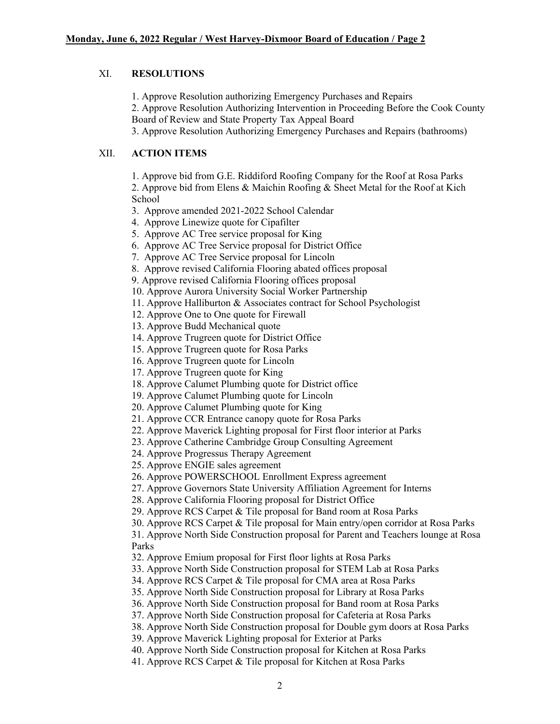# XI. **RESOLUTIONS**

1. Approve Resolution authorizing Emergency Purchases and Repairs

2. Approve Resolution Authorizing Intervention in Proceeding Before the Cook County Board of Review and State Property Tax Appeal Board

3. Approve Resolution Authorizing Emergency Purchases and Repairs (bathrooms)

# XII. **ACTION ITEMS**

1. Approve bid from G.E. Riddiford Roofing Company for the Roof at Rosa Parks 2. Approve bid from Elens & Maichin Roofing & Sheet Metal for the Roof at Kich School

3. Approve amended 2021-2022 School Calendar

4. Approve Linewize quote for Cipafilter

5. Approve AC Tree service proposal for King

6. Approve AC Tree Service proposal for District Office

7. Approve AC Tree Service proposal for Lincoln

8. Approve revised California Flooring abated offices proposal

9. Approve revised California Flooring offices proposal

10. Approve Aurora University Social Worker Partnership

11. Approve Halliburton & Associates contract for School Psychologist

12. Approve One to One quote for Firewall

13. Approve Budd Mechanical quote

14. Approve Trugreen quote for District Office

15. Approve Trugreen quote for Rosa Parks

16. Approve Trugreen quote for Lincoln

17. Approve Trugreen quote for King

18. Approve Calumet Plumbing quote for District office

19. Approve Calumet Plumbing quote for Lincoln

20. Approve Calumet Plumbing quote for King

21. Approve CCR Entrance canopy quote for Rosa Parks

22. Approve Maverick Lighting proposal for First floor interior at Parks

23. Approve Catherine Cambridge Group Consulting Agreement

24. Approve Progressus Therapy Agreement

25. Approve ENGIE sales agreement

26. Approve POWERSCHOOL Enrollment Express agreement

27. Approve Governors State University Affiliation Agreement for Interns

28. Approve California Flooring proposal for District Office

29. Approve RCS Carpet & Tile proposal for Band room at Rosa Parks

30. Approve RCS Carpet & Tile proposal for Main entry/open corridor at Rosa Parks 31. Approve North Side Construction proposal for Parent and Teachers lounge at Rosa

Parks

32. Approve Emium proposal for First floor lights at Rosa Parks

33. Approve North Side Construction proposal for STEM Lab at Rosa Parks

34. Approve RCS Carpet & Tile proposal for CMA area at Rosa Parks

35. Approve North Side Construction proposal for Library at Rosa Parks

36. Approve North Side Construction proposal for Band room at Rosa Parks

37. Approve North Side Construction proposal for Cafeteria at Rosa Parks

38. Approve North Side Construction proposal for Double gym doors at Rosa Parks

39. Approve Maverick Lighting proposal for Exterior at Parks

40. Approve North Side Construction proposal for Kitchen at Rosa Parks

41. Approve RCS Carpet & Tile proposal for Kitchen at Rosa Parks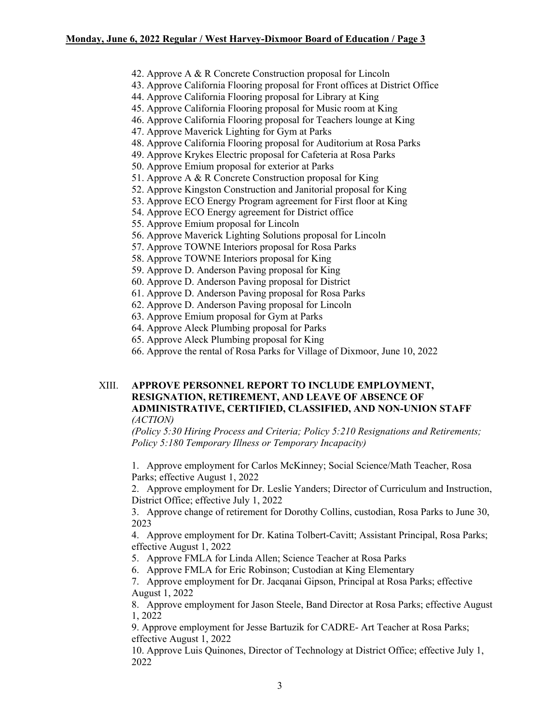## **Monday, June 6, 2022 Regular / West Harvey-Dixmoor Board of Education / Page 3**

- 42. Approve A & R Concrete Construction proposal for Lincoln
- 43. Approve California Flooring proposal for Front offices at District Office
- 44. Approve California Flooring proposal for Library at King
- 45. Approve California Flooring proposal for Music room at King
- 46. Approve California Flooring proposal for Teachers lounge at King
- 47. Approve Maverick Lighting for Gym at Parks
- 48. Approve California Flooring proposal for Auditorium at Rosa Parks
- 49. Approve Krykes Electric proposal for Cafeteria at Rosa Parks
- 50. Approve Emium proposal for exterior at Parks
- 51. Approve A & R Concrete Construction proposal for King
- 52. Approve Kingston Construction and Janitorial proposal for King
- 53. Approve ECO Energy Program agreement for First floor at King
- 54. Approve ECO Energy agreement for District office
- 55. Approve Emium proposal for Lincoln
- 56. Approve Maverick Lighting Solutions proposal for Lincoln
- 57. Approve TOWNE Interiors proposal for Rosa Parks
- 58. Approve TOWNE Interiors proposal for King
- 59. Approve D. Anderson Paving proposal for King
- 60. Approve D. Anderson Paving proposal for District
- 61. Approve D. Anderson Paving proposal for Rosa Parks
- 62. Approve D. Anderson Paving proposal for Lincoln
- 63. Approve Emium proposal for Gym at Parks
- 64. Approve Aleck Plumbing proposal for Parks
- 65. Approve Aleck Plumbing proposal for King
- 66. Approve the rental of Rosa Parks for Village of Dixmoor, June 10, 2022

### XIII. **APPROVE PERSONNEL REPORT TO INCLUDE EMPLOYMENT, RESIGNATION, RETIREMENT, AND LEAVE OF ABSENCE OF ADMINISTRATIVE, CERTIFIED, CLASSIFIED, AND NON-UNION STAFF**  *(ACTION)*

*(Policy 5:30 Hiring Process and Criteria; Policy 5:210 Resignations and Retirements; Policy 5:180 Temporary Illness or Temporary Incapacity)*

1. Approve employment for Carlos McKinney; Social Science/Math Teacher, Rosa Parks; effective August 1, 2022

2. Approve employment for Dr. Leslie Yanders; Director of Curriculum and Instruction, District Office; effective July 1, 2022

3. Approve change of retirement for Dorothy Collins, custodian, Rosa Parks to June 30, 2023

4. Approve employment for Dr. Katina Tolbert-Cavitt; Assistant Principal, Rosa Parks; effective August 1, 2022

5. Approve FMLA for Linda Allen; Science Teacher at Rosa Parks

6. Approve FMLA for Eric Robinson; Custodian at King Elementary

7. Approve employment for Dr. Jacqanai Gipson, Principal at Rosa Parks; effective August 1, 2022

8. Approve employment for Jason Steele, Band Director at Rosa Parks; effective August 1, 2022

9. Approve employment for Jesse Bartuzik for CADRE- Art Teacher at Rosa Parks; effective August 1, 2022

10. Approve Luis Quinones, Director of Technology at District Office; effective July 1, 2022